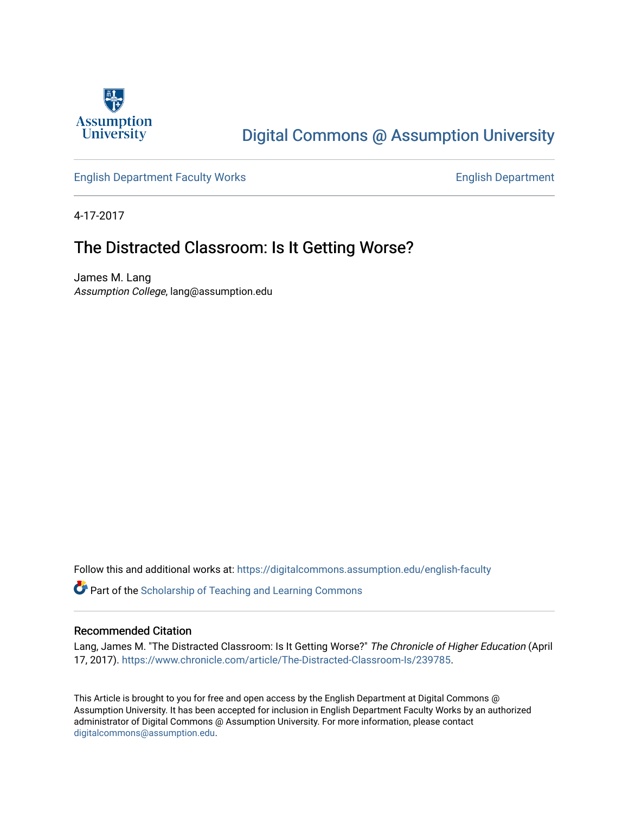

# [Digital Commons @ Assumption University](https://digitalcommons.assumption.edu/)

## [English Department Faculty Works](https://digitalcommons.assumption.edu/english-faculty) **English Department**

4-17-2017

## The Distracted Classroom: Is It Getting Worse?

James M. Lang Assumption College, lang@assumption.edu

Follow this and additional works at: [https://digitalcommons.assumption.edu/english-faculty](https://digitalcommons.assumption.edu/english-faculty?utm_source=digitalcommons.assumption.edu%2Fenglish-faculty%2F30&utm_medium=PDF&utm_campaign=PDFCoverPages) 

Part of the [Scholarship of Teaching and Learning Commons](http://network.bepress.com/hgg/discipline/1328?utm_source=digitalcommons.assumption.edu%2Fenglish-faculty%2F30&utm_medium=PDF&utm_campaign=PDFCoverPages) 

#### Recommended Citation

Lang, James M. "The Distracted Classroom: Is It Getting Worse?" The Chronicle of Higher Education (April 17, 2017). [https://www.chronicle.com/article/The-Distracted-Classroom-Is/239785.](https://www.chronicle.com/article/The-Distracted-Classroom-Is/239785)

This Article is brought to you for free and open access by the English Department at Digital Commons @ Assumption University. It has been accepted for inclusion in English Department Faculty Works by an authorized administrator of Digital Commons @ Assumption University. For more information, please contact [digitalcommons@assumption.edu](mailto:digitalcommons@assumption.edu).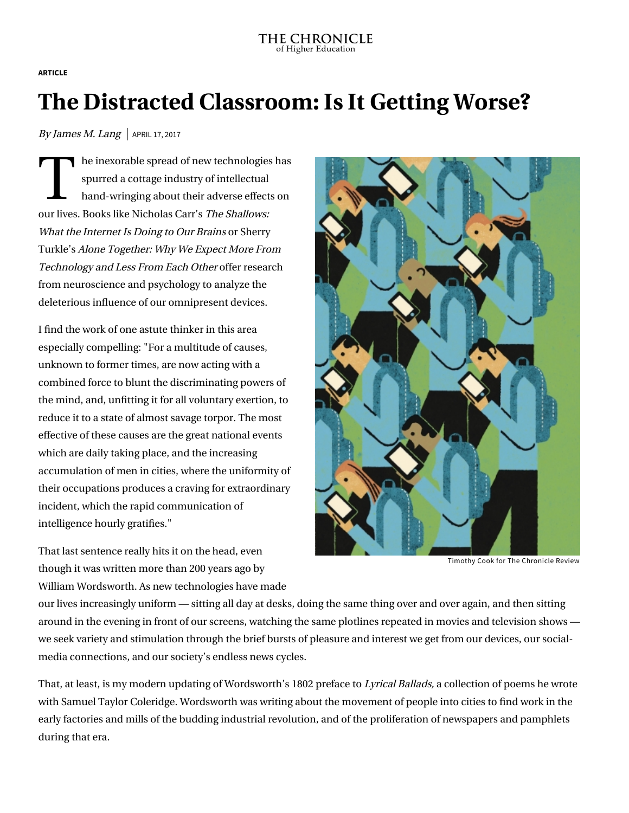**ARTICLE**

# **The Distracted Classroom: Is It Getting Worse?**

By James M. Lang | APRIL 17, 2017

The independent of the independent of the independent of the space of the space of the space of the space of the space of the space of the space of the space of the space of the space of the space of the space of the space he inexorable spread of new technologies has spurred a cottage industry of intellectual hand-wringing about their adverse effects on our lives. Books like Nicholas Carr's The Shallows: [What the Internet Is Doing to Our Brains](https://www.amazon.com/Shallows-What-Internet-Doing-Brains/dp/0393339750) or Sherry Turkle's [Alone Together: Why We Expect More From](https://www.amazon.com/Alone-Together-Expect-Technology-Other/dp/0465031463) Technology and Less From Each Other offer research from neuroscience and psychology to analyze the deleterious influence of our omnipresent devices.

I find the work of one astute thinker in this area especially compelling: "For a multitude of causes, unknown to former times, are now acting with a combined force to blunt the discriminating powers of the mind, and, unfitting it for all voluntary exertion, to reduce it to a state of almost savage torpor. The most effective of these causes are the great national events which are daily taking place, and the increasing accumulation of men in cities, where the uniformity of their occupations produces a craving for extraordinary incident, which the rapid communication of intelligence hourly gratifies."

That last sentence really hits it on the head, even though it was written more than 200 years ago by William Wordsworth. As new technologies have made



Timothy Cook for The Chronicle Review

our lives increasingly uniform — sitting all day at desks, doing the same thing over and over again, and then sitting around in the evening in front of our screens, watching the same plotlines repeated in movies and television shows we seek variety and stimulation through the brief bursts of pleasure and interest we get from our devices, our socialmedia connections, and our society's endless news cycles.

That, at least, is my modern updating of Wordsworth's 1802 preface to [Lyrical Ballads](http://www.english.upenn.edu/~jenglish/Courses/Spring2001/040/preface1802.html), a collection of poems he wrote with Samuel Taylor Coleridge. Wordsworth was writing about the movement of people into cities to find work in the early factories and mills of the budding industrial revolution, and of the proliferation of newspapers and pamphlets during that era.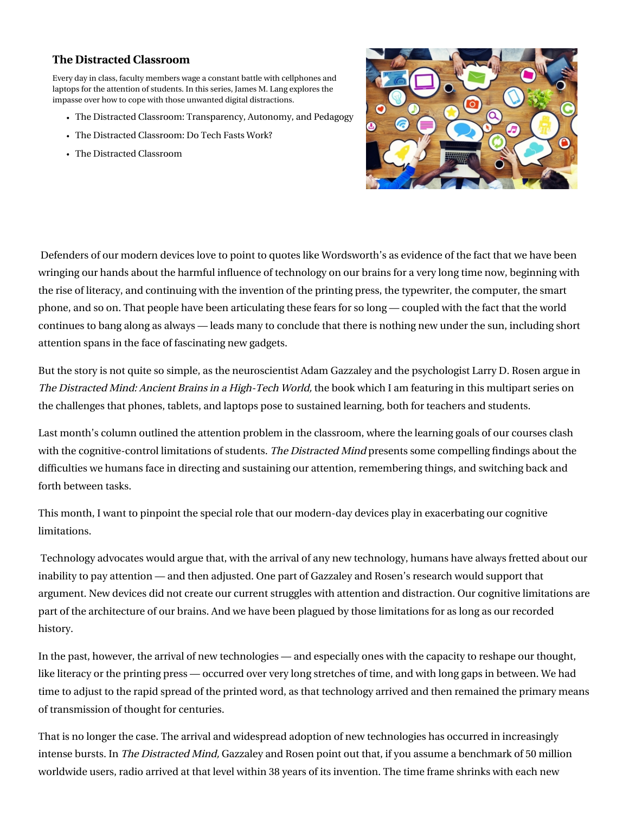### **[The Distracted Classroom](https://www.chronicle.com/specialreport/The-Distracted-Classroom/120?cid=RCPACKAGE)**

Every day in class, faculty members wage a constant battle with cellphones and laptops for the attention of students. In this series, James M. Lang explores the impasse over how to cope with those unwanted digital distractions.

- [The Distracted Classroom: Transparency, Autonomy, and Pedagogy](https://www.chronicle.com/article/The-Distracted-Classroom-/240797?cid=RCPACKAGE)
- [The Distracted Classroom: Do Tech Fasts Work?](https://www.chronicle.com/article/The-Distracted-Classroom-Do/240259?cid=RCPACKAGE)
- [The Distracted Classroom](https://www.chronicle.com/article/The-Distracted-Classroom/239446?cid=RCPACKAGE)



 Defenders of our modern devices love to point to quotes like Wordsworth's as evidence of the fact that we have been wringing our hands about the harmful influence of technology on our brains for a very long time now, beginning with the rise of literacy, and continuing with the invention of the printing press, the typewriter, the computer, the smart phone, and so on. That people have been articulating these fears for so long — coupled with the fact that the world continues to bang along as always — leads many to conclude that there is nothing new under the sun, including short attention spans in the face of fascinating new gadgets.

But the story is not quite so simple, as the neuroscientist Adam Gazzaley and the psychologist Larry D. Rosen argue in [The Distracted Mind: Ancient Brains in a High-Tech World,](https://www.amazon.com/Distracted-Mind-Ancient-Brains-High-Tech/dp/0262034948) the book which I am featuring in this multipart series on the challenges that phones, tablets, and laptops pose to sustained learning, both for teachers and students.

Last month's column [outlined the attention problem](http://www.chronicle.com/article/The-Distracted-Classroom/239446) in the classroom, where the learning goals of our courses clash with the cognitive-control limitations of students. The Distracted Mind presents some compelling findings about the difficulties we humans face in directing and sustaining our attention, remembering things, and switching back and forth between tasks.

This month, I want to pinpoint the special role that our modern-day devices play in exacerbating our cognitive limitations.

 Technology advocates would argue that, with the arrival of any new technology, humans have always fretted about our inability to pay attention — and then adjusted. One part of Gazzaley and Rosen's research would support that argument. New devices did not create our current struggles with attention and distraction. Our cognitive limitations are part of the architecture of our brains. And we have been plagued by those limitations for as long as our recorded history.

In the past, however, the arrival of new technologies — and especially ones with the capacity to reshape our thought, like literacy or the printing press — occurred over very long stretches of time, and with long gaps in between. We had time to adjust to the rapid spread of the printed word, as that technology arrived and then remained the primary means of transmission of thought for centuries.

That is no longer the case. The arrival and widespread adoption of new technologies has occurred in increasingly intense bursts. In The Distracted Mind, Gazzaley and Rosen point out that, if you assume a benchmark of 50 million worldwide users, radio arrived at that level within 38 years of its invention. The time frame shrinks with each new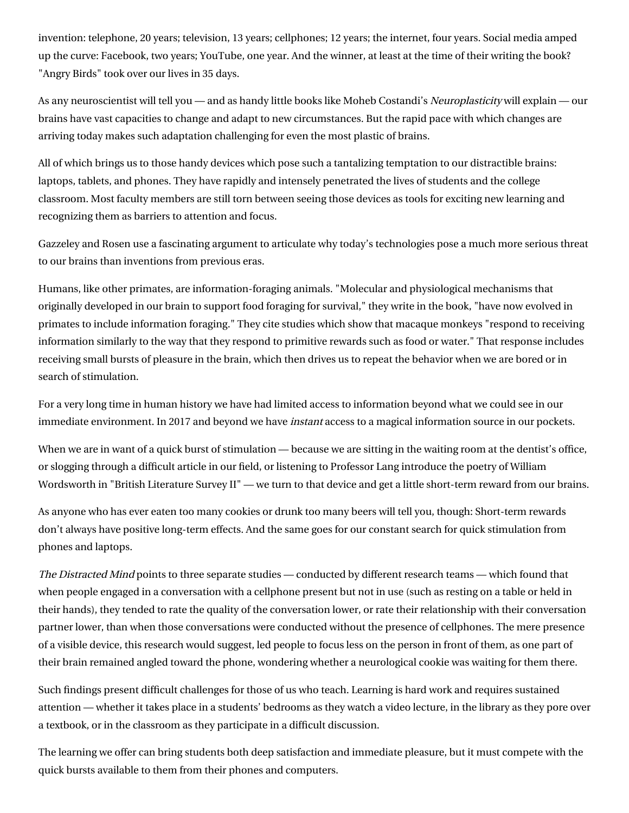invention: telephone, 20 years; television, 13 years; cellphones; 12 years; the internet, four years. Social media amped up the curve: Facebook, two years; YouTube, one year. And the winner, at least at the time of their writing the book? "Angry Birds" took over our lives in 35 days.

As any neuroscientist will tell you — and as handy little books like Moheb Costandi's [Neuroplasticity](https://mitpress.mit.edu/books/neuroplasticity) will explain — our brains have vast capacities to change and adapt to new circumstances. But the rapid pace with which changes are arriving today makes such adaptation challenging for even the most plastic of brains.

All of which brings us to those handy devices which pose such a tantalizing temptation to our distractible brains: laptops, tablets, and phones. They have rapidly and intensely penetrated the lives of students and the college classroom. Most faculty members are still torn between seeing those devices as tools for exciting new learning and recognizing them as barriers to attention and focus.

Gazzeley and Rosen use a fascinating argument to articulate why today's technologies pose a much more serious threat to our brains than inventions from previous eras.

Humans, like other primates, are information-foraging animals. "Molecular and physiological mechanisms that originally developed in our brain to support food foraging for survival," they write in the book, "have now evolved in primates to include information foraging." They cite studies which show that macaque monkeys "respond to receiving information similarly to the way that they respond to primitive rewards such as food or water." That response includes receiving small bursts of pleasure in the brain, which then drives us to repeat the behavior when we are bored or in search of stimulation.

For a very long time in human history we have had limited access to information beyond what we could see in our immediate environment. In 2017 and beyond we have *instant* access to a magical information source in our pockets.

When we are in want of a quick burst of stimulation — because we are sitting in the waiting room at the dentist's office, or slogging through a difficult article in our field, or listening to Professor Lang introduce the poetry of William Wordsworth in "British Literature Survey II" — we turn to that device and get a little short-term reward from our brains.

As anyone who has ever eaten too many cookies or drunk too many beers will tell you, though: Short-term rewards don't always have positive long-term effects. And the same goes for our constant search for quick stimulation from phones and laptops.

The Distracted Mind points to three separate studies — conducted by different research teams — which found that when people engaged in a conversation with a cellphone present but not in use (such as resting on a table or held in their hands), they tended to rate the quality of the conversation lower, or rate their relationship with their conversation partner lower, than when those conversations were conducted without the presence of cellphones. The mere presence of a visible device, this research would suggest, led people to focus less on the person in front of them, as one part of their brain remained angled toward the phone, wondering whether a neurological cookie was waiting for them there.

Such findings present difficult challenges for those of us who teach. Learning is hard work and requires sustained attention — whether it takes place in a students' bedrooms as they watch a video lecture, in the library as they pore over a textbook, or in the classroom as they participate in a difficult discussion.

The learning we offer can bring students both deep satisfaction and immediate pleasure, but it must compete with the quick bursts available to them from their phones and computers.